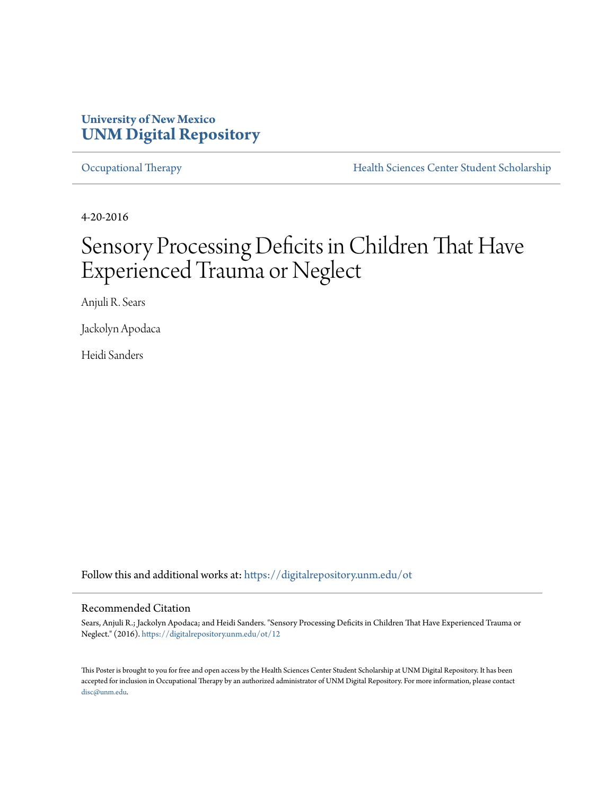### **University of New Mexico [UNM Digital Repository](https://digitalrepository.unm.edu?utm_source=digitalrepository.unm.edu%2Fot%2F12&utm_medium=PDF&utm_campaign=PDFCoverPages)**

[Occupational Therapy](https://digitalrepository.unm.edu/ot?utm_source=digitalrepository.unm.edu%2Fot%2F12&utm_medium=PDF&utm_campaign=PDFCoverPages) **[Health Sciences Center Student Scholarship](https://digitalrepository.unm.edu/hsc-students?utm_source=digitalrepository.unm.edu%2Fot%2F12&utm_medium=PDF&utm_campaign=PDFCoverPages)** 

4-20-2016

## Sensory Processing Deficits in Children That Have Experienced Trauma or Neglect

Anjuli R. Sears

Jackolyn Apodaca

Heidi Sanders

Follow this and additional works at: [https://digitalrepository.unm.edu/ot](https://digitalrepository.unm.edu/ot?utm_source=digitalrepository.unm.edu%2Fot%2F12&utm_medium=PDF&utm_campaign=PDFCoverPages)

### Recommended Citation

Sears, Anjuli R.; Jackolyn Apodaca; and Heidi Sanders. "Sensory Processing Deficits in Children That Have Experienced Trauma or Neglect." (2016). [https://digitalrepository.unm.edu/ot/12](https://digitalrepository.unm.edu/ot/12?utm_source=digitalrepository.unm.edu%2Fot%2F12&utm_medium=PDF&utm_campaign=PDFCoverPages)

This Poster is brought to you for free and open access by the Health Sciences Center Student Scholarship at UNM Digital Repository. It has been accepted for inclusion in Occupational Therapy by an authorized administrator of UNM Digital Repository. For more information, please contact [disc@unm.edu](mailto:disc@unm.edu).